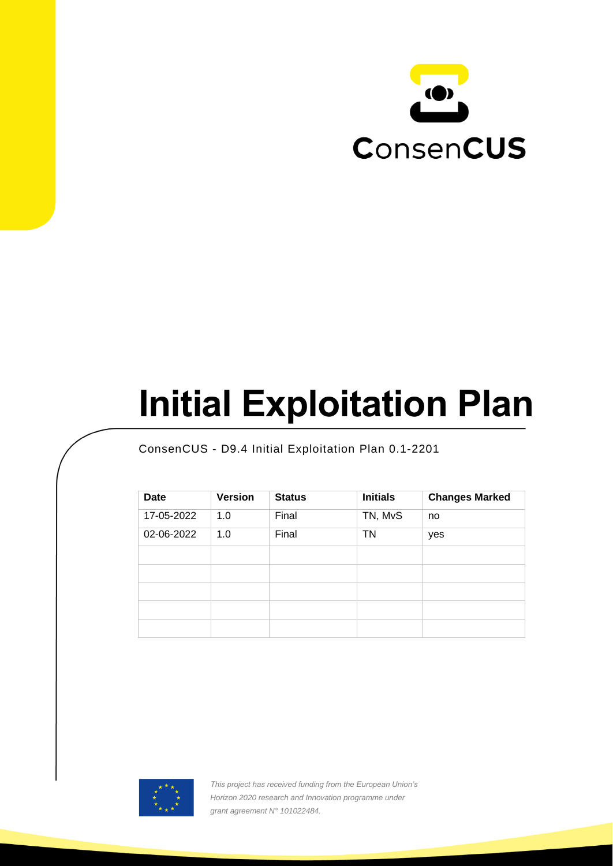

# **Initial Exploitation Plan**

ConsenCUS - D9.4 Initial Exploitation Plan 0.1-2201

| <b>Date</b> | <b>Version</b> | <b>Status</b> | <b>Initials</b> | <b>Changes Marked</b> |
|-------------|----------------|---------------|-----------------|-----------------------|
| 17-05-2022  | 1.0            | Final         | TN, MvS         | no                    |
| 02-06-2022  | 1.0            | Final         | <b>TN</b>       | yes                   |
|             |                |               |                 |                       |
|             |                |               |                 |                       |
|             |                |               |                 |                       |
|             |                |               |                 |                       |
|             |                |               |                 |                       |



*This project has received funding from the European Union's Horizon 2020 research and Innovation programme under grant agreement N° 101022484.*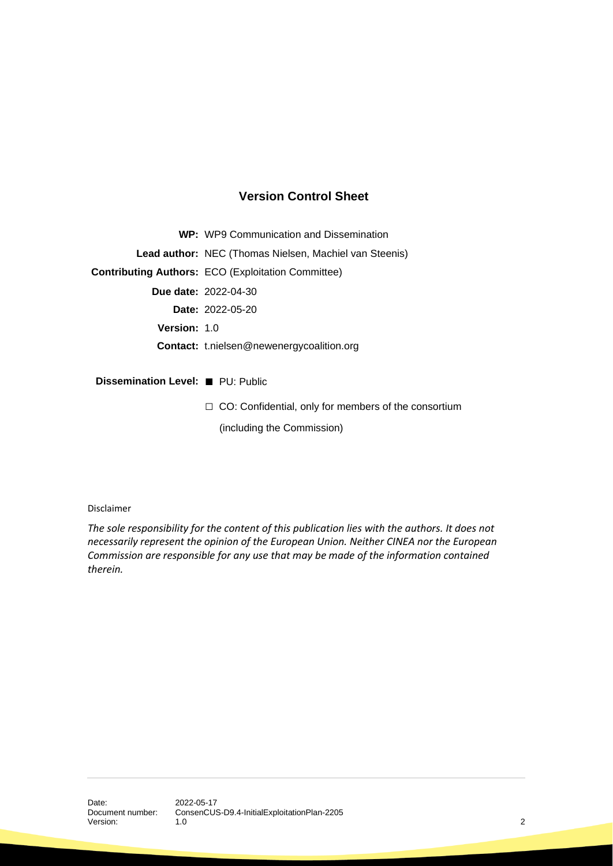#### **Version Control Sheet**

**WP:** WP9 Communication and Dissemination **Lead author:** NEC (Thomas Nielsen, Machiel van Steenis) **Contributing Authors:** ECO (Exploitation Committee) **Due date:** 2022-04-30 **Date:** 2022-05-20 **Version:** 1.0 **Contact:** t.nielsen@newenergycoalition.org **Dissemination Level:** ■ PU: Public □ CO: Confidential, only for members of the consortium

(including the Commission)

Disclaimer

*The sole responsibility for the content of this publication lies with the authors. It does not necessarily represent the opinion of the European Union. Neither CINEA nor the European Commission are responsible for any use that may be made of the information contained therein.*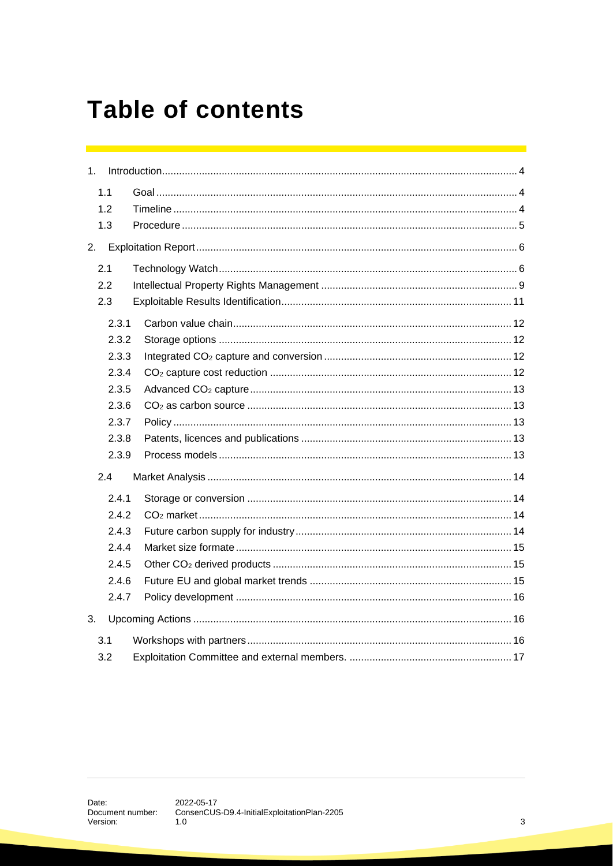# **Table of contents**

| 1 <sub>1</sub> |       |  |
|----------------|-------|--|
|                | 1.1   |  |
|                | 1.2   |  |
|                | 1.3   |  |
| 2.             |       |  |
|                | 2.1   |  |
|                | 2.2   |  |
|                | 2.3   |  |
|                | 2.3.1 |  |
|                | 2.3.2 |  |
|                | 2.3.3 |  |
|                | 2.3.4 |  |
|                | 2.3.5 |  |
|                | 2.3.6 |  |
|                | 2.3.7 |  |
|                | 2.3.8 |  |
|                | 2.3.9 |  |
|                | 2.4   |  |
|                | 2.4.1 |  |
|                | 2.4.2 |  |
|                | 2.4.3 |  |
|                | 2.4.4 |  |
|                | 2.4.5 |  |
|                | 2.4.6 |  |
|                | 2.4.7 |  |
| 3.             |       |  |
|                | 3.1   |  |
|                | 3.2   |  |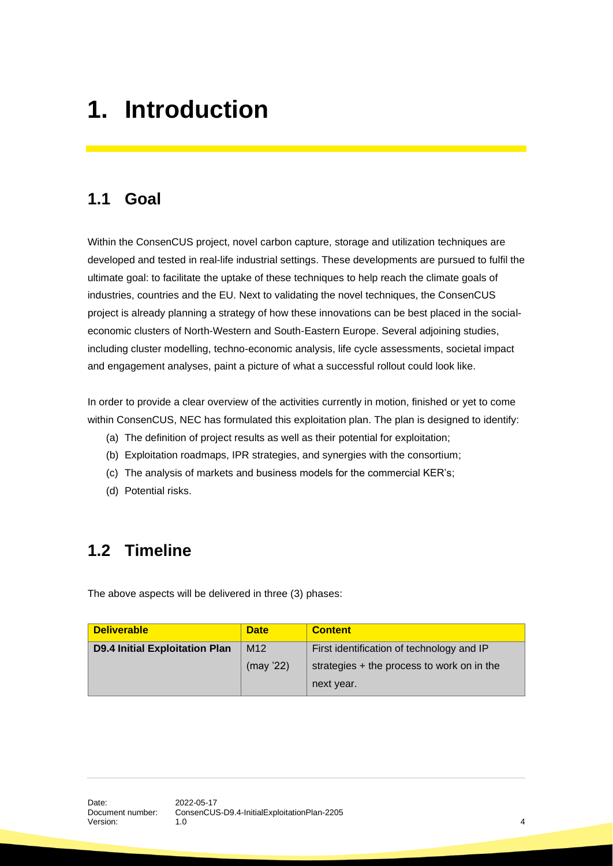# <span id="page-3-0"></span>**1. Introduction**

# <span id="page-3-1"></span>**1.1 Goal**

Within the ConsenCUS project, novel carbon capture, storage and utilization techniques are developed and tested in real-life industrial settings. These developments are pursued to fulfil the ultimate goal: to facilitate the uptake of these techniques to help reach the climate goals of industries, countries and the EU. Next to validating the novel techniques, the ConsenCUS project is already planning a strategy of how these innovations can be best placed in the socialeconomic clusters of North-Western and South-Eastern Europe. Several adjoining studies, including cluster modelling, techno-economic analysis, life cycle assessments, societal impact and engagement analyses, paint a picture of what a successful rollout could look like.

In order to provide a clear overview of the activities currently in motion, finished or yet to come within ConsenCUS, NEC has formulated this exploitation plan. The plan is designed to identify:

- (a) The definition of project results as well as their potential for exploitation;
- (b) Exploitation roadmaps, IPR strategies, and synergies with the consortium;
- (c) The analysis of markets and business models for the commercial KER's;
- (d) Potential risks.

# <span id="page-3-2"></span>**1.2 Timeline**

The above aspects will be delivered in three (3) phases:

| <b>Deliverable</b>                    | <b>Date</b>     | <b>Content</b>                                           |
|---------------------------------------|-----------------|----------------------------------------------------------|
| <b>D9.4 Initial Exploitation Plan</b> | M <sub>12</sub> | First identification of technology and IP                |
|                                       | (max '22)       | strategies + the process to work on in the<br>next year. |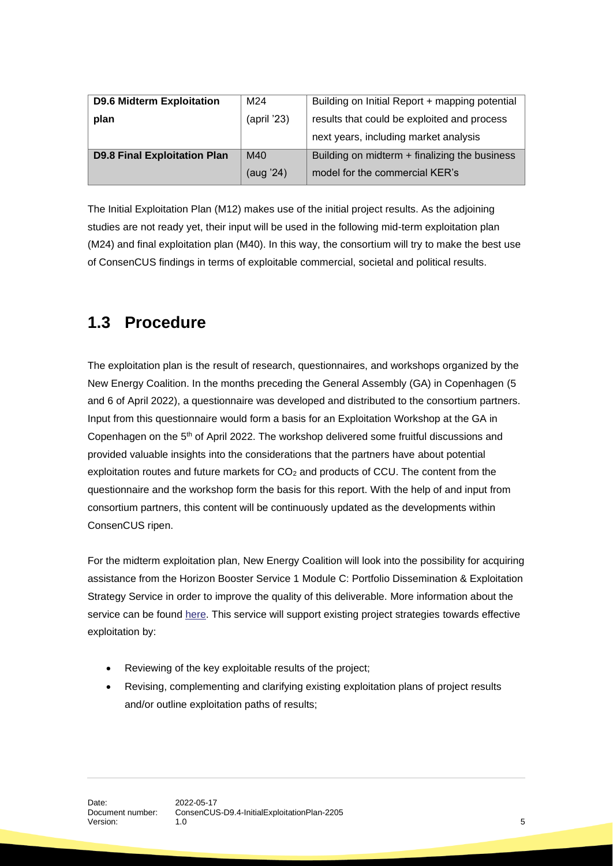| <b>D9.6 Midterm Exploitation</b>    | M24         | Building on Initial Report + mapping potential |
|-------------------------------------|-------------|------------------------------------------------|
| plan                                | (april '23) | results that could be exploited and process    |
|                                     |             | next years, including market analysis          |
| <b>D9.8 Final Exploitation Plan</b> | M40         | Building on midterm + finalizing the business  |
|                                     | (aug '24)   | model for the commercial KER's                 |

The Initial Exploitation Plan (M12) makes use of the initial project results. As the adjoining studies are not ready yet, their input will be used in the following mid-term exploitation plan (M24) and final exploitation plan (M40). In this way, the consortium will try to make the best use of ConsenCUS findings in terms of exploitable commercial, societal and political results.

# <span id="page-4-0"></span>**1.3 Procedure**

The exploitation plan is the result of research, questionnaires, and workshops organized by the New Energy Coalition. In the months preceding the General Assembly (GA) in Copenhagen (5 and 6 of April 2022), a questionnaire was developed and distributed to the consortium partners. Input from this questionnaire would form a basis for an Exploitation Workshop at the GA in Copenhagen on the 5<sup>th</sup> of April 2022. The workshop delivered some fruitful discussions and provided valuable insights into the considerations that the partners have about potential exploitation routes and future markets for CO<sub>2</sub> and products of CCU. The content from the questionnaire and the workshop form the basis for this report. With the help of and input from consortium partners, this content will be continuously updated as the developments within ConsenCUS ripen.

For the midterm exploitation plan, New Energy Coalition will look into the possibility for acquiring assistance from the Horizon Booster Service 1 Module C: Portfolio Dissemination & Exploitation Strategy Service in order to improve the quality of this deliverable. More information about the service can be found [here.](https://www.horizonresultsbooster.eu/ServicePacks/Details/6) This service will support existing project strategies towards effective exploitation by:

- Reviewing of the key exploitable results of the project;
- Revising, complementing and clarifying existing exploitation plans of project results and/or outline exploitation paths of results;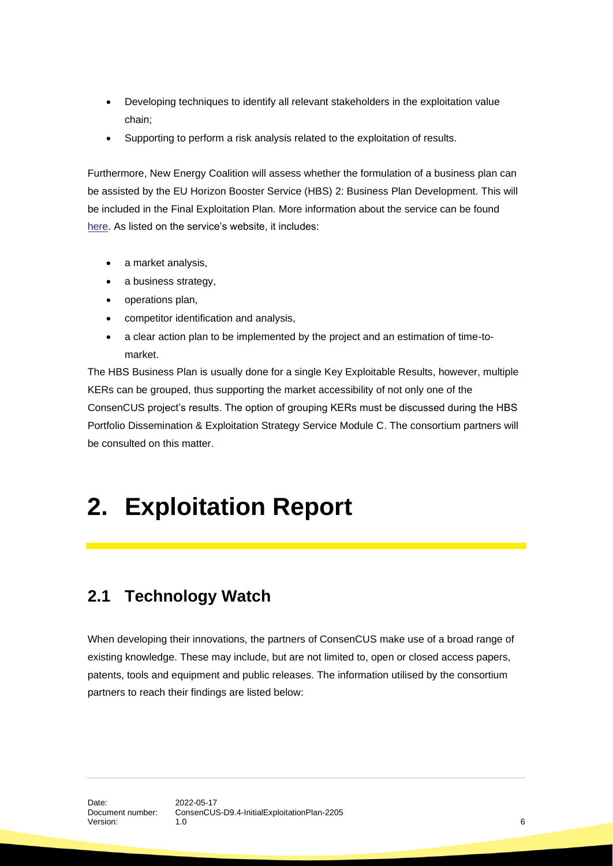- Developing techniques to identify all relevant stakeholders in the exploitation value chain;
- Supporting to perform a risk analysis related to the exploitation of results.

Furthermore, New Energy Coalition will assess whether the formulation of a business plan can be assisted by the EU Horizon Booster Service (HBS) 2: Business Plan Development. This will be included in the Final Exploitation Plan. More information about the service can be found [here.](https://www.horizonresultsbooster.eu/ServicePacks/Details/7) As listed on the service's website, it includes:

- a market analysis,
- a business strategy,
- operations plan,
- competitor identification and analysis,
- a clear action plan to be implemented by the project and an estimation of time-tomarket.

The HBS Business Plan is usually done for a single Key Exploitable Results, however, multiple KERs can be grouped, thus supporting the market accessibility of not only one of the ConsenCUS project's results. The option of grouping KERs must be discussed during the HBS Portfolio Dissemination & Exploitation Strategy Service Module C. The consortium partners will be consulted on this matter.

# <span id="page-5-0"></span>**2. Exploitation Report**

### <span id="page-5-1"></span>**2.1 Technology Watch**

When developing their innovations, the partners of ConsenCUS make use of a broad range of existing knowledge. These may include, but are not limited to, open or closed access papers, patents, tools and equipment and public releases. The information utilised by the consortium partners to reach their findings are listed below: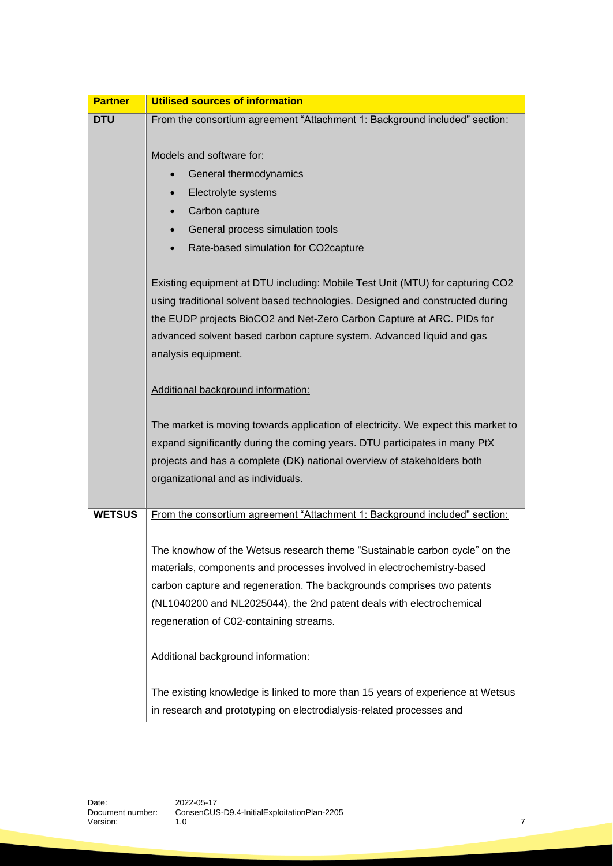| <b>Partner</b> | Utilised sources of information                                                                                                                                                                                                                                                                                                                   |  |  |
|----------------|---------------------------------------------------------------------------------------------------------------------------------------------------------------------------------------------------------------------------------------------------------------------------------------------------------------------------------------------------|--|--|
| <b>DTU</b>     | From the consortium agreement "Attachment 1: Background included" section:                                                                                                                                                                                                                                                                        |  |  |
|                |                                                                                                                                                                                                                                                                                                                                                   |  |  |
|                | Models and software for:                                                                                                                                                                                                                                                                                                                          |  |  |
|                | General thermodynamics                                                                                                                                                                                                                                                                                                                            |  |  |
|                | Electrolyte systems                                                                                                                                                                                                                                                                                                                               |  |  |
|                | Carbon capture                                                                                                                                                                                                                                                                                                                                    |  |  |
|                | General process simulation tools                                                                                                                                                                                                                                                                                                                  |  |  |
|                | Rate-based simulation for CO2capture                                                                                                                                                                                                                                                                                                              |  |  |
|                | Existing equipment at DTU including: Mobile Test Unit (MTU) for capturing CO2<br>using traditional solvent based technologies. Designed and constructed during<br>the EUDP projects BioCO2 and Net-Zero Carbon Capture at ARC. PIDs for<br>advanced solvent based carbon capture system. Advanced liquid and gas                                  |  |  |
|                | analysis equipment.                                                                                                                                                                                                                                                                                                                               |  |  |
|                | Additional background information:                                                                                                                                                                                                                                                                                                                |  |  |
|                | The market is moving towards application of electricity. We expect this market to<br>expand significantly during the coming years. DTU participates in many PtX<br>projects and has a complete (DK) national overview of stakeholders both<br>organizational and as individuals.                                                                  |  |  |
| <b>WETSUS</b>  | From the consortium agreement "Attachment 1: Background included" section:                                                                                                                                                                                                                                                                        |  |  |
|                | The knowhow of the Wetsus research theme "Sustainable carbon cycle" on the<br>materials, components and processes involved in electrochemistry-based<br>carbon capture and regeneration. The backgrounds comprises two patents<br>(NL1040200 and NL2025044), the 2nd patent deals with electrochemical<br>regeneration of C02-containing streams. |  |  |
|                | Additional background information:                                                                                                                                                                                                                                                                                                                |  |  |
|                | The existing knowledge is linked to more than 15 years of experience at Wetsus                                                                                                                                                                                                                                                                    |  |  |
|                | in research and prototyping on electrodialysis-related processes and                                                                                                                                                                                                                                                                              |  |  |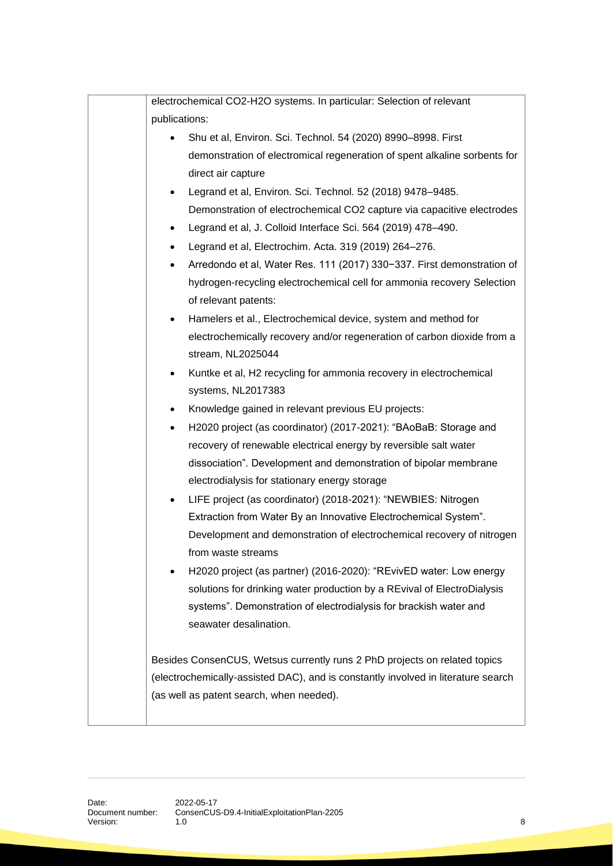| electrochemical CO2-H2O systems. In particular: Selection of relevant             |  |  |
|-----------------------------------------------------------------------------------|--|--|
| publications:                                                                     |  |  |
| Shu et al, Environ. Sci. Technol. 54 (2020) 8990-8998. First                      |  |  |
| demonstration of electromical regeneration of spent alkaline sorbents for         |  |  |
| direct air capture                                                                |  |  |
| Legrand et al, Environ. Sci. Technol. 52 (2018) 9478-9485.                        |  |  |
| Demonstration of electrochemical CO2 capture via capacitive electrodes            |  |  |
| Legrand et al, J. Colloid Interface Sci. 564 (2019) 478-490.<br>$\bullet$         |  |  |
| Legrand et al, Electrochim. Acta. 319 (2019) 264-276.                             |  |  |
| Arredondo et al, Water Res. 111 (2017) 330-337. First demonstration of            |  |  |
| hydrogen-recycling electrochemical cell for ammonia recovery Selection            |  |  |
| of relevant patents:                                                              |  |  |
| Hamelers et al., Electrochemical device, system and method for<br>$\bullet$       |  |  |
| electrochemically recovery and/or regeneration of carbon dioxide from a           |  |  |
| stream, NL2025044                                                                 |  |  |
| Kuntke et al, H2 recycling for ammonia recovery in electrochemical<br>$\bullet$   |  |  |
| systems, NL2017383                                                                |  |  |
| Knowledge gained in relevant previous EU projects:                                |  |  |
| H2020 project (as coordinator) (2017-2021): "BAoBaB: Storage and                  |  |  |
| recovery of renewable electrical energy by reversible salt water                  |  |  |
| dissociation". Development and demonstration of bipolar membrane                  |  |  |
| electrodialysis for stationary energy storage                                     |  |  |
| LIFE project (as coordinator) (2018-2021): "NEWBIES: Nitrogen                     |  |  |
| Extraction from Water By an Innovative Electrochemical System".                   |  |  |
| Development and demonstration of electrochemical recovery of nitrogen             |  |  |
| from waste streams                                                                |  |  |
| H2020 project (as partner) (2016-2020): "REvivED water: Low energy                |  |  |
| solutions for drinking water production by a REvival of ElectroDialysis           |  |  |
| systems". Demonstration of electrodialysis for brackish water and                 |  |  |
| seawater desalination.                                                            |  |  |
|                                                                                   |  |  |
| Besides ConsenCUS, Wetsus currently runs 2 PhD projects on related topics         |  |  |
| (electrochemically-assisted DAC), and is constantly involved in literature search |  |  |
| (as well as patent search, when needed).                                          |  |  |
|                                                                                   |  |  |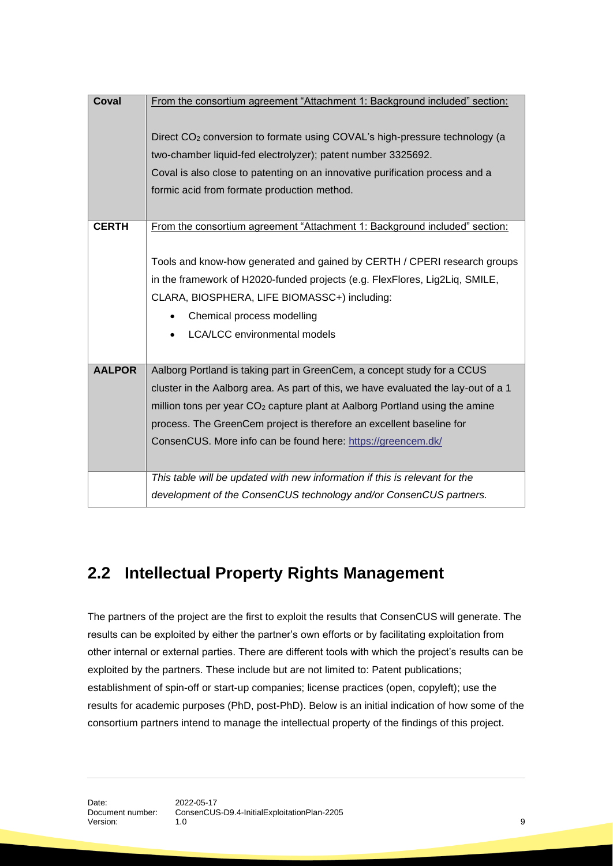| Coval         | From the consortium agreement "Attachment 1: Background included" section:              |  |
|---------------|-----------------------------------------------------------------------------------------|--|
|               |                                                                                         |  |
|               | Direct CO <sub>2</sub> conversion to formate using COVAL's high-pressure technology (a  |  |
|               | two-chamber liquid-fed electrolyzer); patent number 3325692.                            |  |
|               | Coval is also close to patenting on an innovative purification process and a            |  |
|               | formic acid from formate production method.                                             |  |
|               |                                                                                         |  |
| <b>CERTH</b>  | From the consortium agreement "Attachment 1: Background included" section:              |  |
|               |                                                                                         |  |
|               | Tools and know-how generated and gained by CERTH / CPERI research groups                |  |
|               | in the framework of H2020-funded projects (e.g. FlexFlores, Lig2Liq, SMILE,             |  |
|               | CLARA, BIOSPHERA, LIFE BIOMASSC+) including:                                            |  |
|               | Chemical process modelling                                                              |  |
|               | <b>LCA/LCC</b> environmental models                                                     |  |
|               |                                                                                         |  |
| <b>AALPOR</b> | Aalborg Portland is taking part in GreenCem, a concept study for a CCUS                 |  |
|               | cluster in the Aalborg area. As part of this, we have evaluated the lay-out of a 1      |  |
|               | million tons per year CO <sub>2</sub> capture plant at Aalborg Portland using the amine |  |
|               | process. The GreenCem project is therefore an excellent baseline for                    |  |
|               | ConsenCUS. More info can be found here: https://greencem.dk/                            |  |
|               |                                                                                         |  |
|               |                                                                                         |  |
|               | This table will be updated with new information if this is relevant for the             |  |
|               | development of the ConsenCUS technology and/or ConsenCUS partners.                      |  |

# <span id="page-8-0"></span>**2.2 Intellectual Property Rights Management**

The partners of the project are the first to exploit the results that ConsenCUS will generate. The results can be exploited by either the partner's own efforts or by facilitating exploitation from other internal or external parties. There are different tools with which the project's results can be exploited by the partners. These include but are not limited to: Patent publications; establishment of spin-off or start-up companies; license practices (open, copyleft); use the results for academic purposes (PhD, post-PhD). Below is an initial indication of how some of the consortium partners intend to manage the intellectual property of the findings of this project.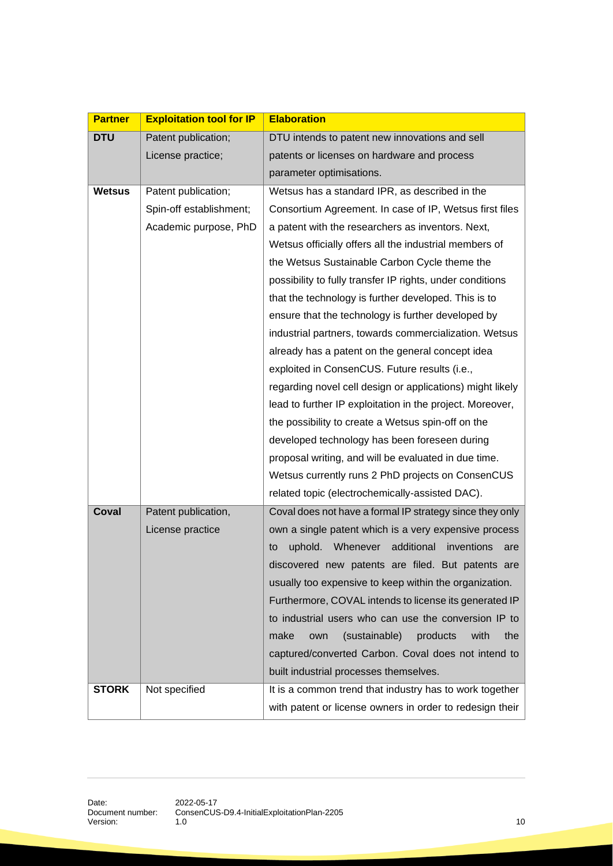| <b>Partner</b> | <b>Exploitation tool for IP</b> | <b>Elaboration</b>                                        |
|----------------|---------------------------------|-----------------------------------------------------------|
| <b>DTU</b>     | Patent publication;             | DTU intends to patent new innovations and sell            |
|                | License practice;               | patents or licenses on hardware and process               |
|                |                                 | parameter optimisations.                                  |
| <b>Wetsus</b>  | Patent publication;             | Wetsus has a standard IPR, as described in the            |
|                | Spin-off establishment;         | Consortium Agreement. In case of IP, Wetsus first files   |
|                | Academic purpose, PhD           | a patent with the researchers as inventors. Next,         |
|                |                                 | Wetsus officially offers all the industrial members of    |
|                |                                 | the Wetsus Sustainable Carbon Cycle theme the             |
|                |                                 | possibility to fully transfer IP rights, under conditions |
|                |                                 | that the technology is further developed. This is to      |
|                |                                 | ensure that the technology is further developed by        |
|                |                                 | industrial partners, towards commercialization. Wetsus    |
|                |                                 | already has a patent on the general concept idea          |
|                |                                 | exploited in ConsenCUS. Future results (i.e.,             |
|                |                                 | regarding novel cell design or applications) might likely |
|                |                                 | lead to further IP exploitation in the project. Moreover, |
|                |                                 | the possibility to create a Wetsus spin-off on the        |
|                |                                 | developed technology has been foreseen during             |
|                |                                 | proposal writing, and will be evaluated in due time.      |
|                |                                 | Wetsus currently runs 2 PhD projects on ConsenCUS         |
|                |                                 | related topic (electrochemically-assisted DAC).           |
| Coval          | Patent publication,             | Coval does not have a formal IP strategy since they only  |
|                | License practice                | own a single patent which is a very expensive process     |
|                |                                 | Whenever additional<br>uphold.<br>inventions<br>to<br>are |
|                |                                 | discovered new patents are filed. But patents are         |
|                |                                 | usually too expensive to keep within the organization.    |
|                |                                 | Furthermore, COVAL intends to license its generated IP    |
|                |                                 | to industrial users who can use the conversion IP to      |
|                |                                 | make<br>(sustainable)<br>products<br>with<br>the<br>own   |
|                |                                 | captured/converted Carbon. Coval does not intend to       |
|                |                                 | built industrial processes themselves.                    |
| <b>STORK</b>   | Not specified                   | It is a common trend that industry has to work together   |
|                |                                 | with patent or license owners in order to redesign their  |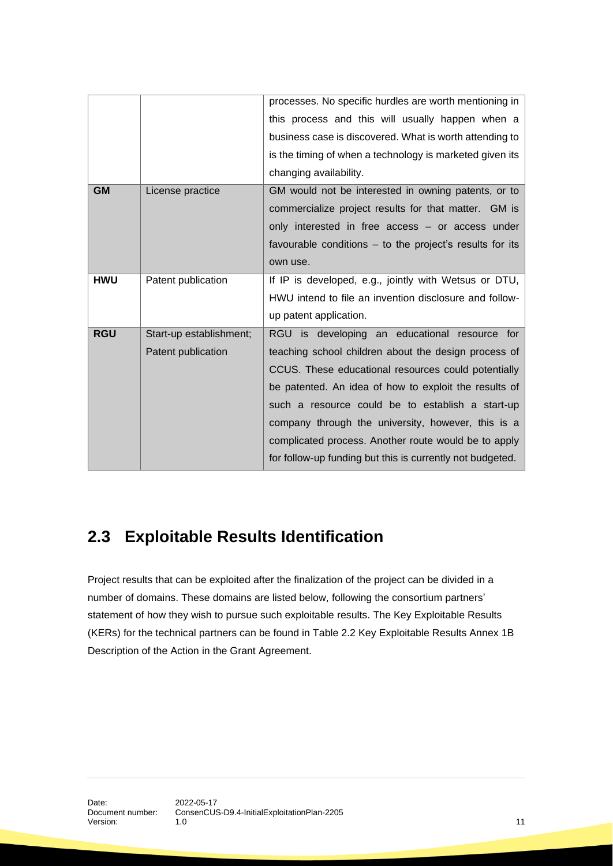|            |                         | processes. No specific hurdles are worth mentioning in<br>this process and this will usually happen when a |
|------------|-------------------------|------------------------------------------------------------------------------------------------------------|
|            |                         | business case is discovered. What is worth attending to                                                    |
|            |                         | is the timing of when a technology is marketed given its                                                   |
|            |                         | changing availability.                                                                                     |
| <b>GM</b>  | License practice        | GM would not be interested in owning patents, or to                                                        |
|            |                         | commercialize project results for that matter. GM is                                                       |
|            |                         | only interested in free access - or access under                                                           |
|            |                         | favourable conditions – to the project's results for its                                                   |
|            |                         | own use.                                                                                                   |
| <b>HWU</b> | Patent publication      | If IP is developed, e.g., jointly with Wetsus or DTU,                                                      |
|            |                         | HWU intend to file an invention disclosure and follow-                                                     |
|            |                         | up patent application.                                                                                     |
| <b>RGU</b> | Start-up establishment; | RGU is developing an educational resource for                                                              |
|            | Patent publication      | teaching school children about the design process of                                                       |
|            |                         | CCUS. These educational resources could potentially                                                        |
|            |                         | be patented. An idea of how to exploit the results of                                                      |
|            |                         | such a resource could be to establish a start-up                                                           |
|            |                         |                                                                                                            |
|            |                         | company through the university, however, this is a                                                         |
|            |                         | complicated process. Another route would be to apply                                                       |

# <span id="page-10-0"></span>**2.3 Exploitable Results Identification**

Project results that can be exploited after the finalization of the project can be divided in a number of domains. These domains are listed below, following the consortium partners' statement of how they wish to pursue such exploitable results. The Key Exploitable Results (KERs) for the technical partners can be found in Table 2.2 Key Exploitable Results Annex 1B Description of the Action in the Grant Agreement.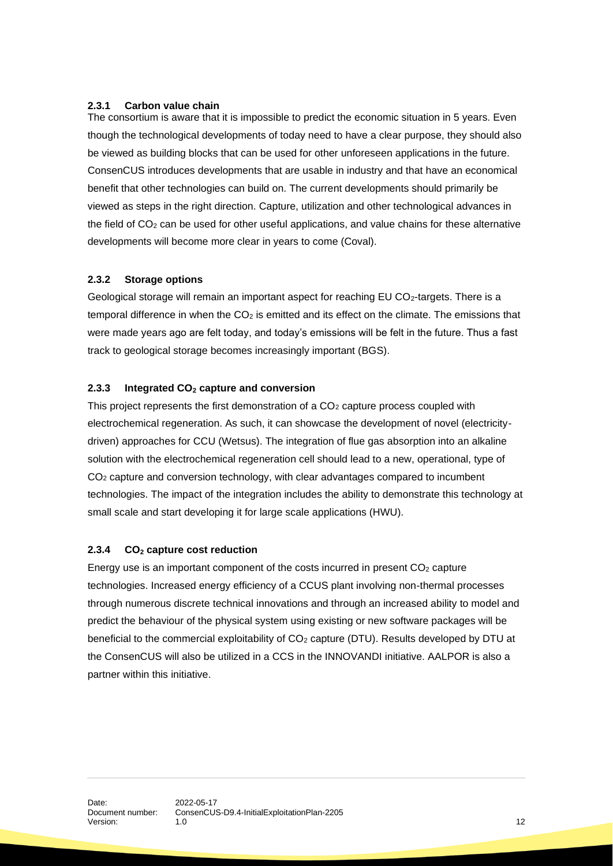#### <span id="page-11-0"></span>**2.3.1 Carbon value chain**

The consortium is aware that it is impossible to predict the economic situation in 5 years. Even though the technological developments of today need to have a clear purpose, they should also be viewed as building blocks that can be used for other unforeseen applications in the future. ConsenCUS introduces developments that are usable in industry and that have an economical benefit that other technologies can build on. The current developments should primarily be viewed as steps in the right direction. Capture, utilization and other technological advances in the field of CO<sup>2</sup> can be used for other useful applications, and value chains for these alternative developments will become more clear in years to come (Coval).

#### <span id="page-11-1"></span>**2.3.2 Storage options**

Geological storage will remain an important aspect for reaching EU CO<sub>2</sub>-targets. There is a temporal difference in when the  $CO<sub>2</sub>$  is emitted and its effect on the climate. The emissions that were made years ago are felt today, and today's emissions will be felt in the future. Thus a fast track to geological storage becomes increasingly important (BGS).

#### <span id="page-11-2"></span>**2.3.3 Integrated CO<sup>2</sup> capture and conversion**

This project represents the first demonstration of a  $CO<sub>2</sub>$  capture process coupled with electrochemical regeneration. As such, it can showcase the development of novel (electricitydriven) approaches for CCU (Wetsus). The integration of flue gas absorption into an alkaline solution with the electrochemical regeneration cell should lead to a new, operational, type of CO<sup>2</sup> capture and conversion technology, with clear advantages compared to incumbent technologies. The impact of the integration includes the ability to demonstrate this technology at small scale and start developing it for large scale applications (HWU).

#### <span id="page-11-3"></span>**2.3.4 CO<sup>2</sup> capture cost reduction**

Energy use is an important component of the costs incurred in present  $CO<sub>2</sub>$  capture technologies. Increased energy efficiency of a CCUS plant involving non-thermal processes through numerous discrete technical innovations and through an increased ability to model and predict the behaviour of the physical system using existing or new software packages will be beneficial to the commercial exploitability of CO<sub>2</sub> capture (DTU). Results developed by DTU at the ConsenCUS will also be utilized in a CCS in the INNOVANDI initiative. AALPOR is also a partner within this initiative.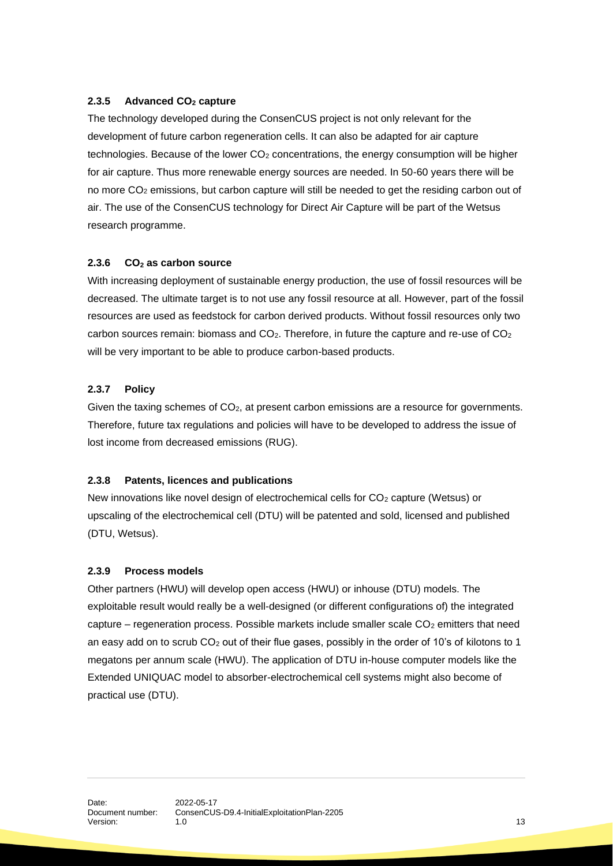#### <span id="page-12-0"></span>**2.3.5 Advanced CO<sup>2</sup> capture**

The technology developed during the ConsenCUS project is not only relevant for the development of future carbon regeneration cells. It can also be adapted for air capture technologies. Because of the lower  $CO<sub>2</sub>$  concentrations, the energy consumption will be higher for air capture. Thus more renewable energy sources are needed. In 50-60 years there will be no more CO<sup>2</sup> emissions, but carbon capture will still be needed to get the residing carbon out of air. The use of the ConsenCUS technology for Direct Air Capture will be part of the Wetsus research programme.

#### <span id="page-12-1"></span>**2.3.6 CO<sup>2</sup> as carbon source**

With increasing deployment of sustainable energy production, the use of fossil resources will be decreased. The ultimate target is to not use any fossil resource at all. However, part of the fossil resources are used as feedstock for carbon derived products. Without fossil resources only two carbon sources remain: biomass and  $CO<sub>2</sub>$ . Therefore, in future the capture and re-use of  $CO<sub>2</sub>$ will be very important to be able to produce carbon-based products.

#### <span id="page-12-2"></span>**2.3.7 Policy**

Given the taxing schemes of CO2, at present carbon emissions are a resource for governments. Therefore, future tax regulations and policies will have to be developed to address the issue of lost income from decreased emissions (RUG).

#### <span id="page-12-3"></span>**2.3.8 Patents, licences and publications**

New innovations like novel design of electrochemical cells for  $CO<sub>2</sub>$  capture (Wetsus) or upscaling of the electrochemical cell (DTU) will be patented and sold, licensed and published (DTU, Wetsus).

#### <span id="page-12-4"></span>**2.3.9 Process models**

Other partners (HWU) will develop open access (HWU) or inhouse (DTU) models. The exploitable result would really be a well-designed (or different configurations of) the integrated capture – regeneration process. Possible markets include smaller scale  $CO<sub>2</sub>$  emitters that need an easy add on to scrub  $CO<sub>2</sub>$  out of their flue gases, possibly in the order of 10's of kilotons to 1 megatons per annum scale (HWU). The application of DTU in-house computer models like the Extended UNIQUAC model to absorber-electrochemical cell systems might also become of practical use (DTU).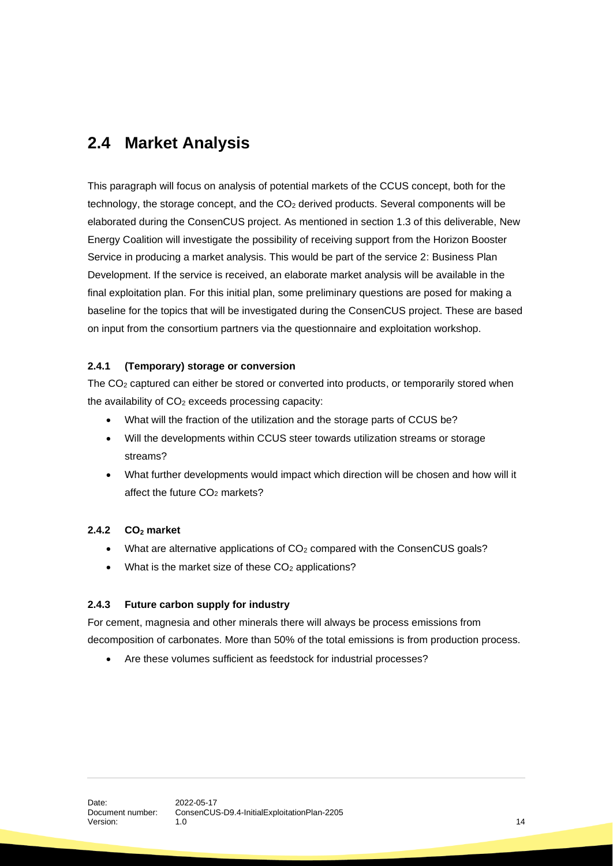# <span id="page-13-0"></span>**2.4 Market Analysis**

This paragraph will focus on analysis of potential markets of the CCUS concept, both for the technology, the storage concept, and the  $CO<sub>2</sub>$  derived products. Several components will be elaborated during the ConsenCUS project. As mentioned in section 1.3 of this deliverable, New Energy Coalition will investigate the possibility of receiving support from the Horizon Booster Service in producing a market analysis. This would be part of the service 2: Business Plan Development. If the service is received, an elaborate market analysis will be available in the final exploitation plan. For this initial plan, some preliminary questions are posed for making a baseline for the topics that will be investigated during the ConsenCUS project. These are based on input from the consortium partners via the questionnaire and exploitation workshop.

#### <span id="page-13-1"></span>**2.4.1 (Temporary) storage or conversion**

The CO<sup>2</sup> captured can either be stored or converted into products, or temporarily stored when the availability of  $CO<sub>2</sub>$  exceeds processing capacity:

- What will the fraction of the utilization and the storage parts of CCUS be?
- Will the developments within CCUS steer towards utilization streams or storage streams?
- What further developments would impact which direction will be chosen and how will it affect the future CO<sub>2</sub> markets?

#### <span id="page-13-2"></span>**2.4.2 CO<sup>2</sup> market**

- What are alternative applications of  $CO<sub>2</sub>$  compared with the ConsenCUS goals?
- What is the market size of these  $CO<sub>2</sub>$  applications?

#### <span id="page-13-3"></span>**2.4.3 Future carbon supply for industry**

For cement, magnesia and other minerals there will always be process emissions from decomposition of carbonates. More than 50% of the total emissions is from production process.

• Are these volumes sufficient as feedstock for industrial processes?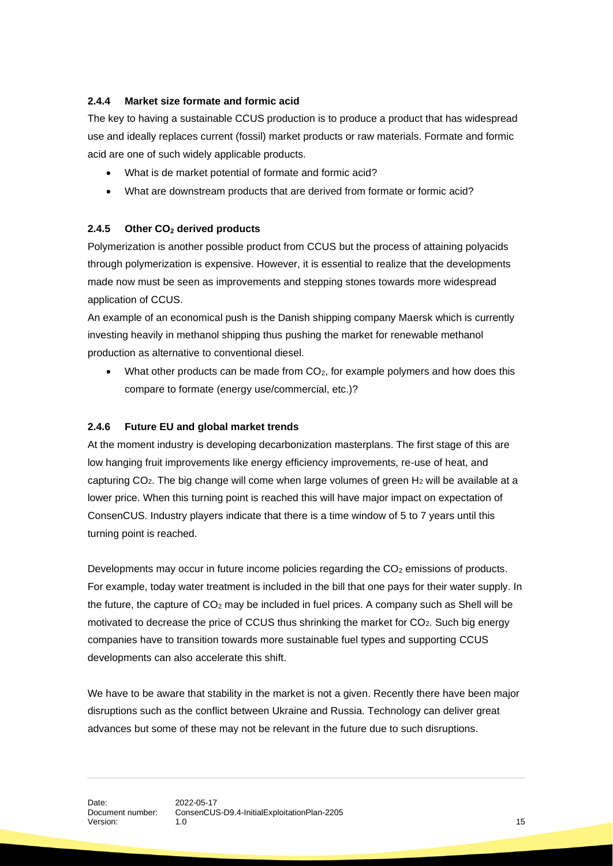#### <span id="page-14-0"></span>**2.4.4 Market size formate and formic acid**

The key to having a sustainable CCUS production is to produce a product that has widespread use and ideally replaces current (fossil) market products or raw materials. Formate and formic acid are one of such widely applicable products.

- What is de market potential of formate and formic acid?
- What are downstream products that are derived from formate or formic acid?

#### <span id="page-14-1"></span>**2.4.5 Other CO<sup>2</sup> derived products**

Polymerization is another possible product from CCUS but the process of attaining polyacids through polymerization is expensive. However, it is essential to realize that the developments made now must be seen as improvements and stepping stones towards more widespread application of CCUS.

An example of an economical push is the Danish shipping company Maersk which is currently investing heavily in methanol shipping thus pushing the market for renewable methanol production as alternative to conventional diesel.

• What other products can be made from  $CO<sub>2</sub>$ , for example polymers and how does this compare to formate (energy use/commercial, etc.)?

#### <span id="page-14-2"></span>**2.4.6 Future EU and global market trends**

At the moment industry is developing decarbonization masterplans. The first stage of this are low hanging fruit improvements like energy efficiency improvements, re-use of heat, and capturing  $CO<sub>2</sub>$ . The big change will come when large volumes of green  $H<sub>2</sub>$  will be available at a lower price. When this turning point is reached this will have major impact on expectation of ConsenCUS. Industry players indicate that there is a time window of 5 to 7 years until this turning point is reached.

Developments may occur in future income policies regarding the  $CO<sub>2</sub>$  emissions of products. For example, today water treatment is included in the bill that one pays for their water supply. In the future, the capture of  $CO<sub>2</sub>$  may be included in fuel prices. A company such as Shell will be motivated to decrease the price of CCUS thus shrinking the market for CO<sub>2</sub>. Such big energy companies have to transition towards more sustainable fuel types and supporting CCUS developments can also accelerate this shift.

We have to be aware that stability in the market is not a given. Recently there have been major disruptions such as the conflict between Ukraine and Russia. Technology can deliver great advances but some of these may not be relevant in the future due to such disruptions.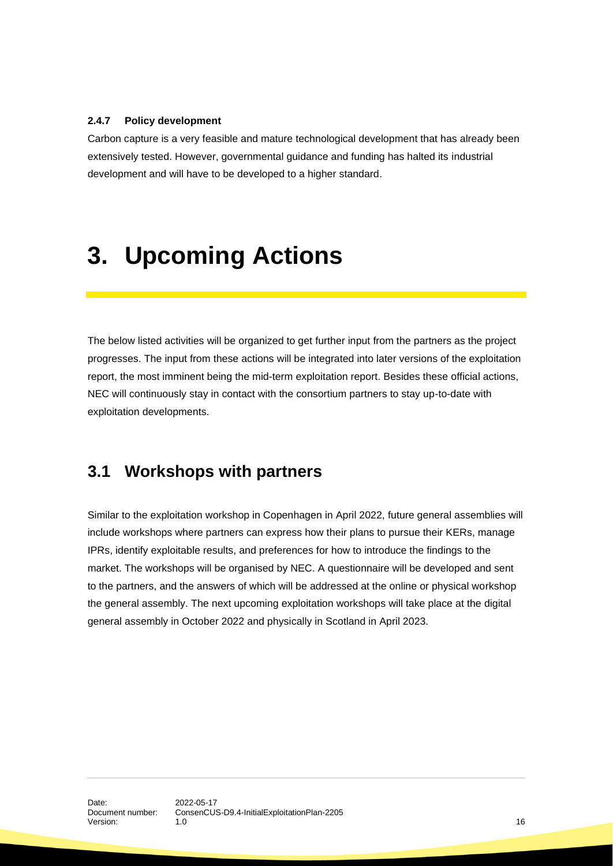#### <span id="page-15-0"></span>**2.4.7 Policy development**

Carbon capture is a very feasible and mature technological development that has already been extensively tested. However, governmental guidance and funding has halted its industrial development and will have to be developed to a higher standard.

# <span id="page-15-1"></span>**3. Upcoming Actions**

The below listed activities will be organized to get further input from the partners as the project progresses. The input from these actions will be integrated into later versions of the exploitation report, the most imminent being the mid-term exploitation report. Besides these official actions, NEC will continuously stay in contact with the consortium partners to stay up-to-date with exploitation developments.

### <span id="page-15-2"></span>**3.1 Workshops with partners**

Similar to the exploitation workshop in Copenhagen in April 2022, future general assemblies will include workshops where partners can express how their plans to pursue their KERs, manage IPRs, identify exploitable results, and preferences for how to introduce the findings to the market. The workshops will be organised by NEC. A questionnaire will be developed and sent to the partners, and the answers of which will be addressed at the online or physical workshop the general assembly. The next upcoming exploitation workshops will take place at the digital general assembly in October 2022 and physically in Scotland in April 2023.